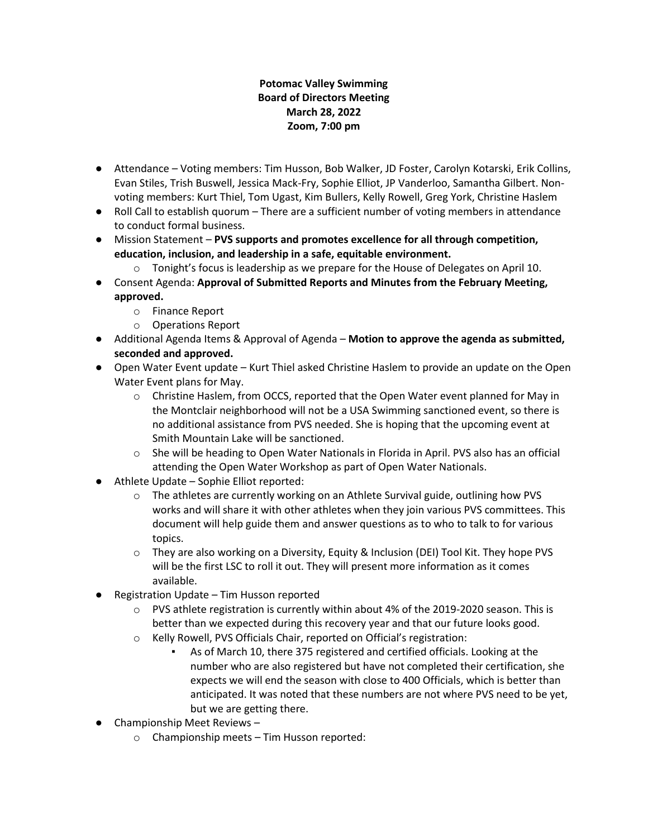### **Potomac Valley Swimming Board of Directors Meeting March 28, 2022 Zoom, 7:00 pm**

- Attendance Voting members: Tim Husson, Bob Walker, JD Foster, Carolyn Kotarski, Erik Collins, Evan Stiles, Trish Buswell, Jessica Mack-Fry, Sophie Elliot, JP Vanderloo, Samantha Gilbert. Nonvoting members: Kurt Thiel, Tom Ugast, Kim Bullers, Kelly Rowell, Greg York, Christine Haslem
- Roll Call to establish quorum There are a sufficient number of voting members in attendance to conduct formal business.
- Mission Statement **PVS supports and promotes excellence for all through competition, education, inclusion, and leadership in a safe, equitable environment.**
	- $\circ$  Tonight's focus is leadership as we prepare for the House of Delegates on April 10.
- Consent Agenda: **Approval of Submitted Reports and Minutes from the February Meeting, approved.**
	- o Finance Report
	- o Operations Report
- Additional Agenda Items & Approval of Agenda **Motion to approve the agenda as submitted, seconded and approved.**
- Open Water Event update Kurt Thiel asked Christine Haslem to provide an update on the Open Water Event plans for May.
	- o Christine Haslem, from OCCS, reported that the Open Water event planned for May in the Montclair neighborhood will not be a USA Swimming sanctioned event, so there is no additional assistance from PVS needed. She is hoping that the upcoming event at Smith Mountain Lake will be sanctioned.
	- o She will be heading to Open Water Nationals in Florida in April. PVS also has an official attending the Open Water Workshop as part of Open Water Nationals.
- Athlete Update Sophie Elliot reported:
	- $\circ$  The athletes are currently working on an Athlete Survival guide, outlining how PVS works and will share it with other athletes when they join various PVS committees. This document will help guide them and answer questions as to who to talk to for various topics.
	- o They are also working on a Diversity, Equity & Inclusion (DEI) Tool Kit. They hope PVS will be the first LSC to roll it out. They will present more information as it comes available.
- Registration Update Tim Husson reported
	- $\circ$  PVS athlete registration is currently within about 4% of the 2019-2020 season. This is better than we expected during this recovery year and that our future looks good.
	- o Kelly Rowell, PVS Officials Chair, reported on Official's registration:
		- As of March 10, there 375 registered and certified officials. Looking at the number who are also registered but have not completed their certification, she expects we will end the season with close to 400 Officials, which is better than anticipated. It was noted that these numbers are not where PVS need to be yet, but we are getting there.
- Championship Meet Reviews
	- o Championship meets Tim Husson reported: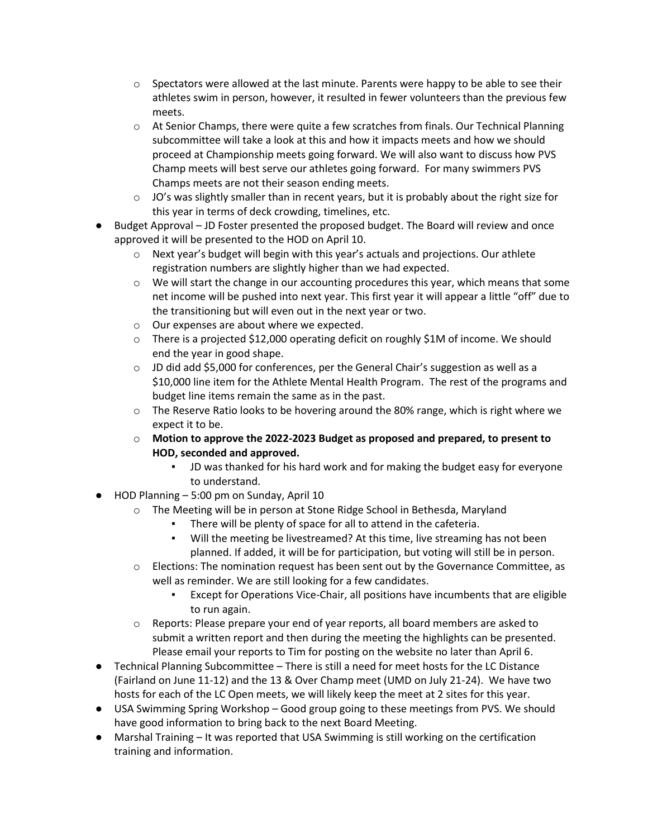- $\circ$  Spectators were allowed at the last minute. Parents were happy to be able to see their athletes swim in person, however, it resulted in fewer volunteers than the previous few meets.
- $\circ$  At Senior Champs, there were quite a few scratches from finals. Our Technical Planning subcommittee will take a look at this and how it impacts meets and how we should proceed at Championship meets going forward. We will also want to discuss how PVS Champ meets will best serve our athletes going forward. For many swimmers PVS Champs meets are not their season ending meets.
- $\circ$  JO's was slightly smaller than in recent years, but it is probably about the right size for this year in terms of deck crowding, timelines, etc.
- Budget Approval JD Foster presented the proposed budget. The Board will review and once approved it will be presented to the HOD on April 10.
	- $\circ$  Next year's budget will begin with this year's actuals and projections. Our athlete registration numbers are slightly higher than we had expected.
	- $\circ$  We will start the change in our accounting procedures this year, which means that some net income will be pushed into next year. This first year it will appear a little "off" due to the transitioning but will even out in the next year or two.
	- o Our expenses are about where we expected.
	- $\circ$  There is a projected \$12,000 operating deficit on roughly \$1M of income. We should end the year in good shape.
	- $\circ$  JD did add \$5,000 for conferences, per the General Chair's suggestion as well as a \$10,000 line item for the Athlete Mental Health Program. The rest of the programs and budget line items remain the same as in the past.
	- $\circ$  The Reserve Ratio looks to be hovering around the 80% range, which is right where we expect it to be.
	- o **Motion to approve the 2022-2023 Budget as proposed and prepared, to present to HOD, seconded and approved.** 
		- JD was thanked for his hard work and for making the budget easy for everyone to understand.
- HOD Planning 5:00 pm on Sunday, April 10
	- o The Meeting will be in person at Stone Ridge School in Bethesda, Maryland
		- There will be plenty of space for all to attend in the cafeteria.
		- Will the meeting be livestreamed? At this time, live streaming has not been planned. If added, it will be for participation, but voting will still be in person.
	- $\circ$  Elections: The nomination request has been sent out by the Governance Committee, as well as reminder. We are still looking for a few candidates.
		- Except for Operations Vice-Chair, all positions have incumbents that are eligible to run again.
	- $\circ$  Reports: Please prepare your end of year reports, all board members are asked to submit a written report and then during the meeting the highlights can be presented. Please email your reports to Tim for posting on the website no later than April 6.
- Technical Planning Subcommittee There is still a need for meet hosts for the LC Distance (Fairland on June 11-12) and the 13 & Over Champ meet (UMD on July 21-24). We have two hosts for each of the LC Open meets, we will likely keep the meet at 2 sites for this year.
- USA Swimming Spring Workshop Good group going to these meetings from PVS. We should have good information to bring back to the next Board Meeting.
- Marshal Training It was reported that USA Swimming is still working on the certification training and information.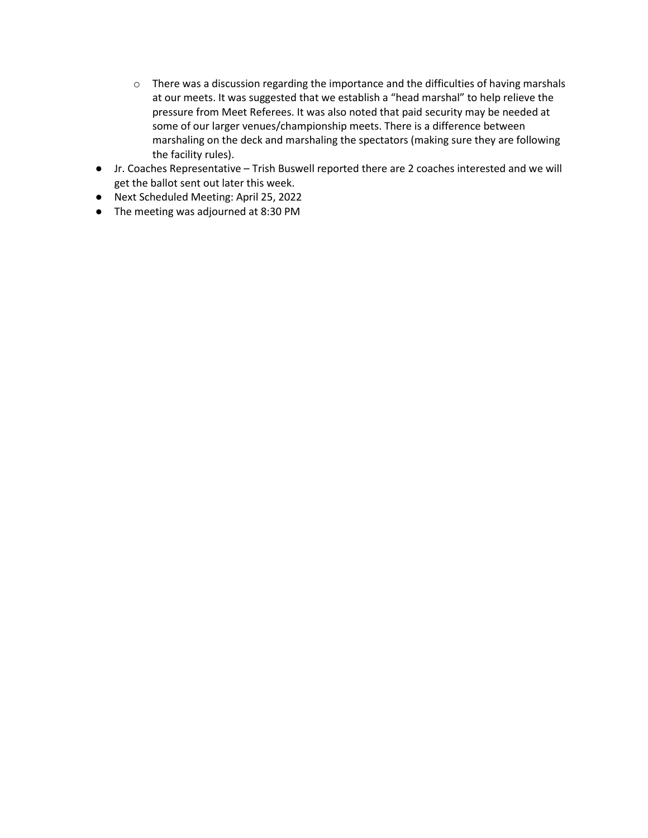- o There was a discussion regarding the importance and the difficulties of having marshals at our meets. It was suggested that we establish a "head marshal" to help relieve the pressure from Meet Referees. It was also noted that paid security may be needed at some of our larger venues/championship meets. There is a difference between marshaling on the deck and marshaling the spectators (making sure they are following the facility rules).
- Jr. Coaches Representative Trish Buswell reported there are 2 coaches interested and we will get the ballot sent out later this week.
- Next Scheduled Meeting: April 25, 2022
- The meeting was adjourned at 8:30 PM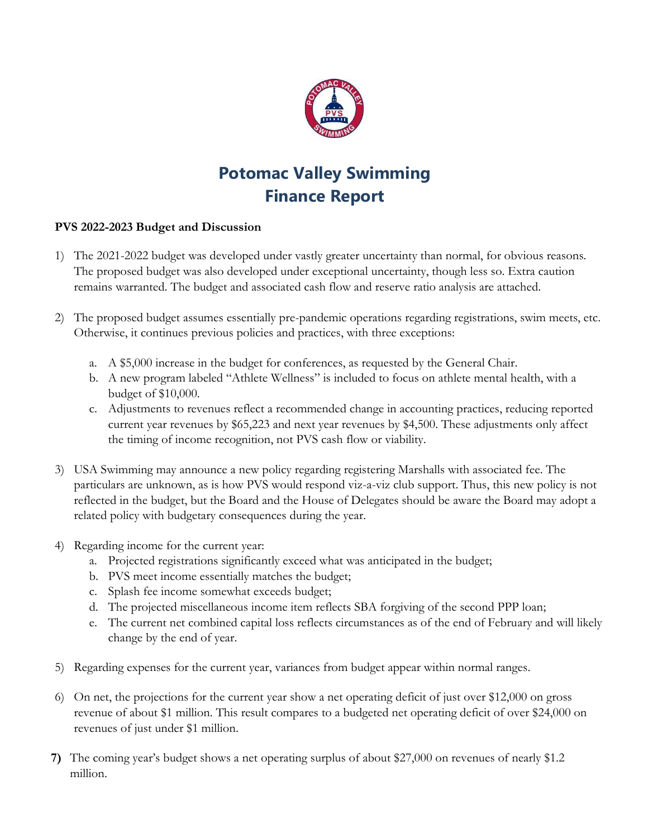

# **Potomac Valley Swimming Finance Report**

## **PVS 2022-2023 Budget and Discussion**

- 1) The 2021-2022 budget was developed under vastly greater uncertainty than normal, for obvious reasons. The proposed budget was also developed under exceptional uncertainty, though less so. Extra caution remains warranted. The budget and associated cash flow and reserve ratio analysis are attached.
- 2) The proposed budget assumes essentially pre-pandemic operations regarding registrations, swim meets, etc. Otherwise, it continues previous policies and practices, with three exceptions:
	- a. A \$5,000 increase in the budget for conferences, as requested by the General Chair.
	- b. A new program labeled "Athlete Wellness" is included to focus on athlete mental health, with a budget of \$10,000.
	- c. Adjustments to revenues reflect a recommended change in accounting practices, reducing reported current year revenues by \$65,223 and next year revenues by \$4,500. These adjustments only affect the timing of income recognition, not PVS cash flow or viability.
- 3) USA Swimming may announce a new policy regarding registering Marshalls with associated fee. The particulars are unknown, as is how PVS would respond viz-a-viz club support. Thus, this new policy is not reflected in the budget, but the Board and the House of Delegates should be aware the Board may adopt a related policy with budgetary consequences during the year.
- 4) Regarding income for the current year:
	- a. Projected registrations significantly exceed what was anticipated in the budget;
	- b. PVS meet income essentially matches the budget;
	- c. Splash fee income somewhat exceeds budget;
	- d. The projected miscellaneous income item reflects SBA forgiving of the second PPP loan;
	- e. The current net combined capital loss reflects circumstances as of the end of February and will likely change by the end of year.
- 5) Regarding expenses for the current year, variances from budget appear within normal ranges.
- 6) On net, the projections for the current year show a net operating deficit of just over \$12,000 on gross revenue of about \$1 million. This result compares to a budgeted net operating deficit of over \$24,000 on revenues of just under \$1 million.
- **7)** The coming year's budget shows a net operating surplus of about \$27,000 on revenues of nearly \$1.2 million.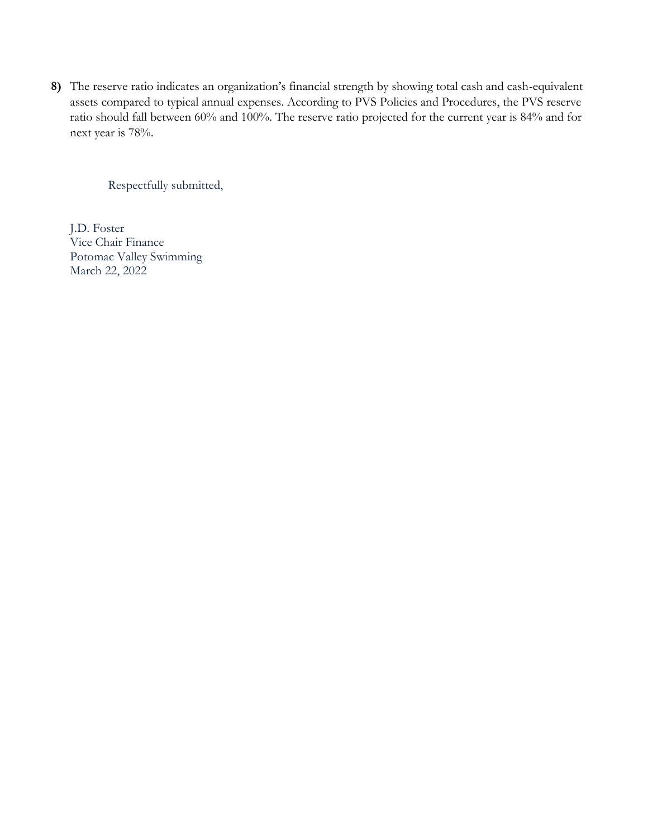**8)** The reserve ratio indicates an organization's financial strength by showing total cash and cash-equivalent assets compared to typical annual expenses. According to PVS Policies and Procedures, the PVS reserve ratio should fall between 60% and 100%. The reserve ratio projected for the current year is 84% and for next year is 78%.

Respectfully submitted,

J.D. Foster Vice Chair Finance Potomac Valley Swimming March 22, 2022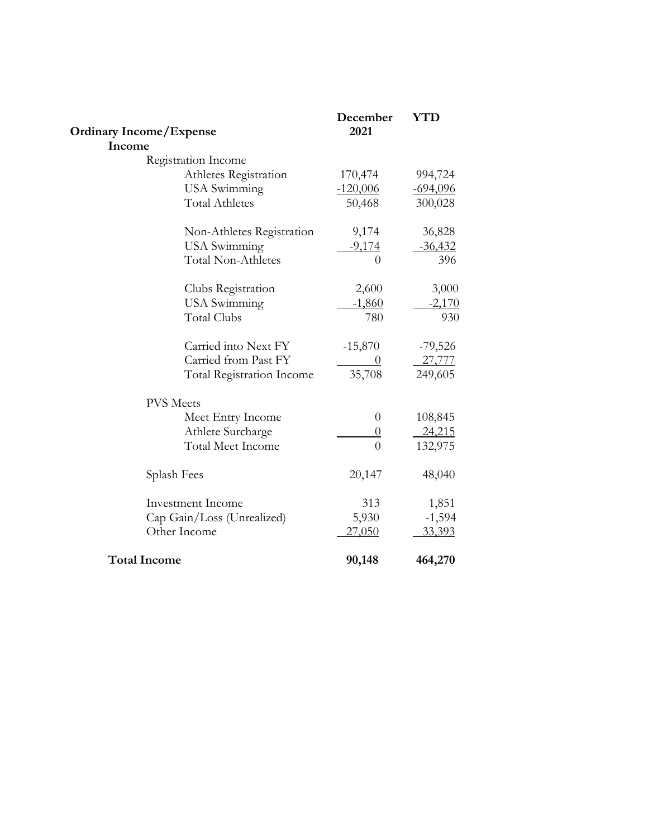| <b>Ordinary Income/Expense</b>   | December<br>2021 | <b>YTD</b>    |
|----------------------------------|------------------|---------------|
| Income                           |                  |               |
| Registration Income              |                  |               |
| Athletes Registration            | 170,474          | 994,724       |
| <b>USA</b> Swimming              | $-120,006$       | $-694,096$    |
| <b>Total Athletes</b>            | 50,468           | 300,028       |
| Non-Athletes Registration        | 9,174            | 36,828        |
| <b>USA</b> Swimming              | $-9,174$         | $-36,432$     |
| <b>Total Non-Athletes</b>        | $\overline{0}$   | 396           |
| Clubs Registration               | 2,600            | 3,000         |
| <b>USA</b> Swimming              | $-1,860$         | $-2,170$      |
| <b>Total Clubs</b>               | 780              | 930           |
| Carried into Next FY             | $-15,870$        | $-79,526$     |
| Carried from Past FY             | $\theta$         | 27,777        |
| <b>Total Registration Income</b> | 35,708           | 249,605       |
| <b>PVS</b> Meets                 |                  |               |
| Meet Entry Income                | $\overline{0}$   | 108,845       |
| Athlete Surcharge                | $\theta$         | 24,215        |
| <b>Total Meet Income</b>         | $\overline{0}$   | 132,975       |
| Splash Fees                      | 20,147           | 48,040        |
| <b>Investment Income</b>         | 313              | 1,851         |
| Cap Gain/Loss (Unrealized)       | 5,930            | $-1,594$      |
| Other Income                     | <u>27,050</u>    | <u>33,393</u> |
| <b>Total Income</b>              | 90,148           | 464,270       |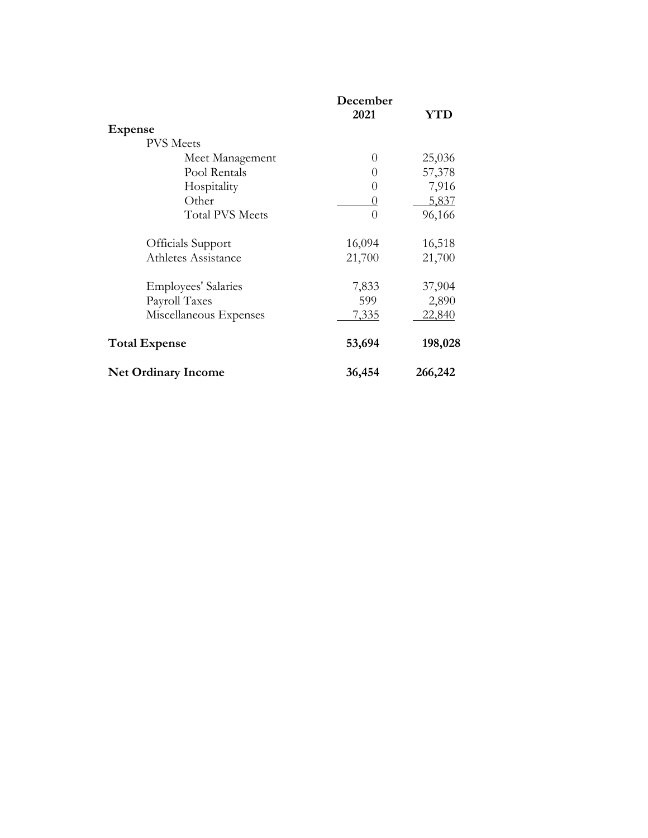|                            | December     |         |  |
|----------------------------|--------------|---------|--|
|                            | 2021         | YTD     |  |
| <b>Expense</b>             |              |         |  |
| <b>PVS</b> Meets           |              |         |  |
| Meet Management            | $\theta$     | 25,036  |  |
| Pool Rentals               | $\theta$     | 57,378  |  |
| Hospitality                | $\theta$     | 7,916   |  |
| Other                      | $\theta$     | 5,837   |  |
| <b>Total PVS Meets</b>     | $\Omega$     | 96,166  |  |
| Officials Support          | 16,094       | 16,518  |  |
| Athletes Assistance        | 21,700       | 21,700  |  |
| Employees' Salaries        | 7,833        | 37,904  |  |
| Payroll Taxes              | 599          | 2,890   |  |
| Miscellaneous Expenses     | <u>7,335</u> | 22,840  |  |
| <b>Total Expense</b>       | 53,694       | 198,028 |  |
| <b>Net Ordinary Income</b> | 36,454       | 266,242 |  |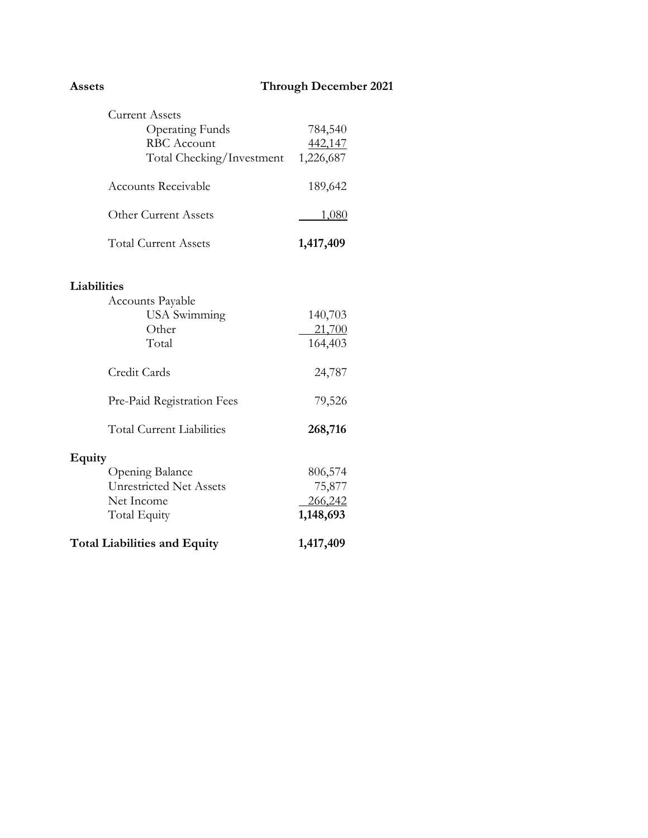| <b>Current Assets</b><br><b>Operating Funds</b> | 784,540   |
|-------------------------------------------------|-----------|
| <b>RBC</b> Account                              |           |
|                                                 | 442,147   |
| Total Checking/Investment                       | 1,226,687 |
| <b>Accounts Receivable</b>                      | 189,642   |
| <b>Other Current Assets</b>                     | 1,080     |
| <b>Total Current Assets</b>                     | 1,417,409 |
| Liabilities                                     |           |
| <b>Accounts Payable</b>                         |           |
| <b>USA</b> Swimming                             | 140,703   |
| Other                                           | 21,700    |
| Total                                           | 164,403   |
| Credit Cards                                    | 24,787    |
| Pre-Paid Registration Fees                      | 79,526    |
| <b>Total Current Liabilities</b>                | 268,716   |
| Equity                                          |           |
| Opening Balance                                 | 806,574   |
| <b>Unrestricted Net Assets</b>                  | 75,877    |
| Net Income                                      | 266,242   |
| Total Equity                                    | 1,148,693 |
| <b>Total Liabilities and Equity</b>             | 1,417,409 |